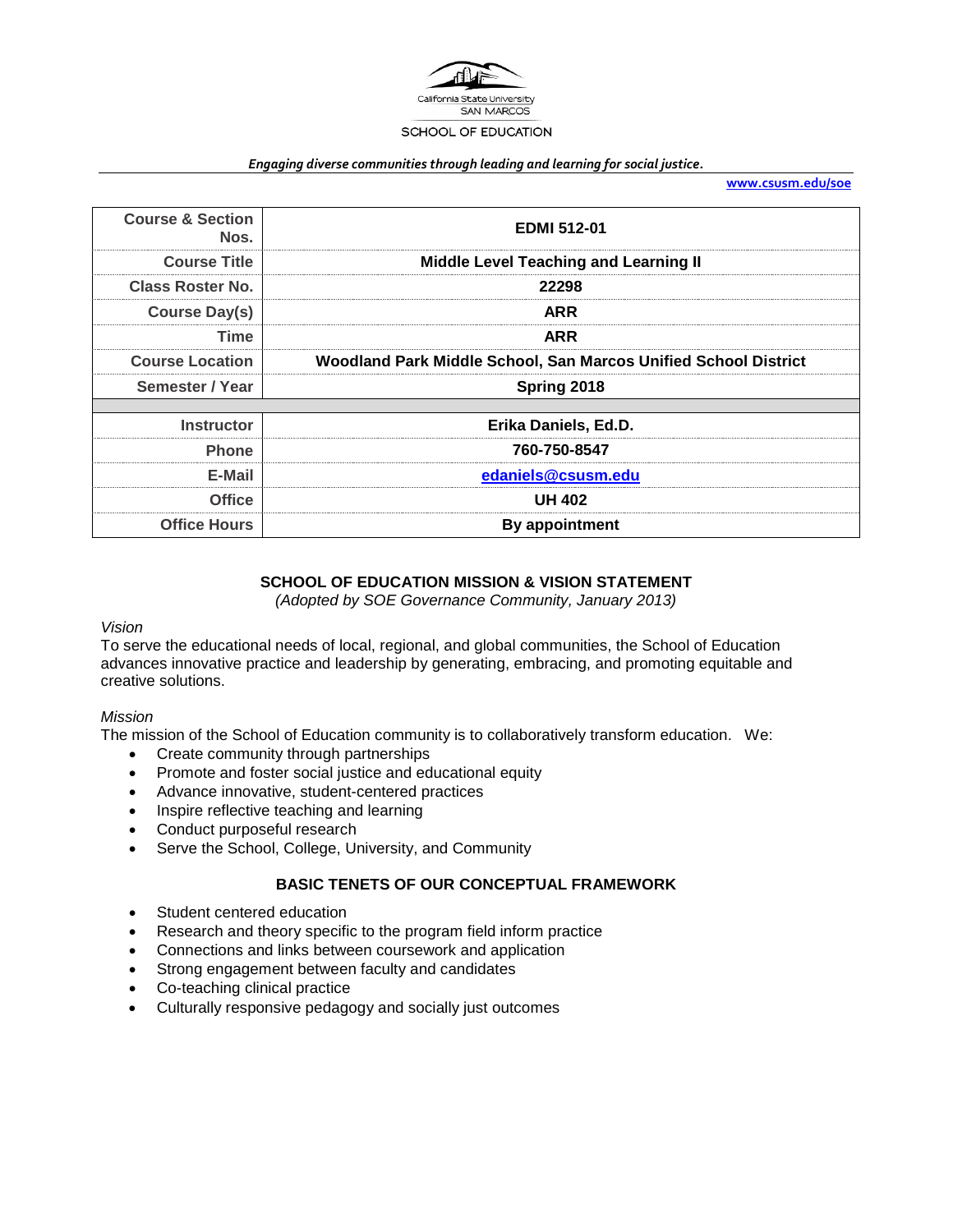

#### *Engaging diverse communities through leading and learning for social justice.*

**[www.csusm.edu/soe](http://www.csusm.edu/soe)**

| <b>Course &amp; Section</b><br>Nos. | <b>EDMI 512-01</b>                                              |  |  |  |
|-------------------------------------|-----------------------------------------------------------------|--|--|--|
| <b>Course Title</b>                 | <b>Middle Level Teaching and Learning II</b>                    |  |  |  |
| Class Roster No.                    | 22298                                                           |  |  |  |
| <b>Course Day(s)</b>                | <b>ARR</b>                                                      |  |  |  |
| Time                                | <b>ARR</b>                                                      |  |  |  |
| <b>Course Location</b>              | Woodland Park Middle School, San Marcos Unified School District |  |  |  |
| Semester / Year                     | Spring 2018                                                     |  |  |  |
|                                     |                                                                 |  |  |  |
| <b>Instructor</b>                   | Erika Daniels, Ed.D.                                            |  |  |  |
| <b>Phone</b>                        | 760-750-8547                                                    |  |  |  |
| E-Mail                              | edaniels@csusm.edu                                              |  |  |  |
| Office                              | <b>UH 402</b>                                                   |  |  |  |
| <b>Office Hours</b>                 | By appointment                                                  |  |  |  |

## **SCHOOL OF EDUCATION MISSION & VISION STATEMENT**

*(Adopted by SOE Governance Community, January 2013)*

#### *Vision*

To serve the educational needs of local, regional, and global communities, the School of Education advances innovative practice and leadership by generating, embracing, and promoting equitable and creative solutions.

#### *Mission*

The mission of the School of Education community is to collaboratively transform education. We:

- Create community through partnerships
- Promote and foster social justice and educational equity
- Advance innovative, student-centered practices
- Inspire reflective teaching and learning
- Conduct purposeful research
- Serve the School, College, University, and Community

### **BASIC TENETS OF OUR CONCEPTUAL FRAMEWORK**

- Student centered education
- Research and theory specific to the program field inform practice
- Connections and links between coursework and application
- Strong engagement between faculty and candidates
- Co-teaching clinical practice
- Culturally responsive pedagogy and socially just outcomes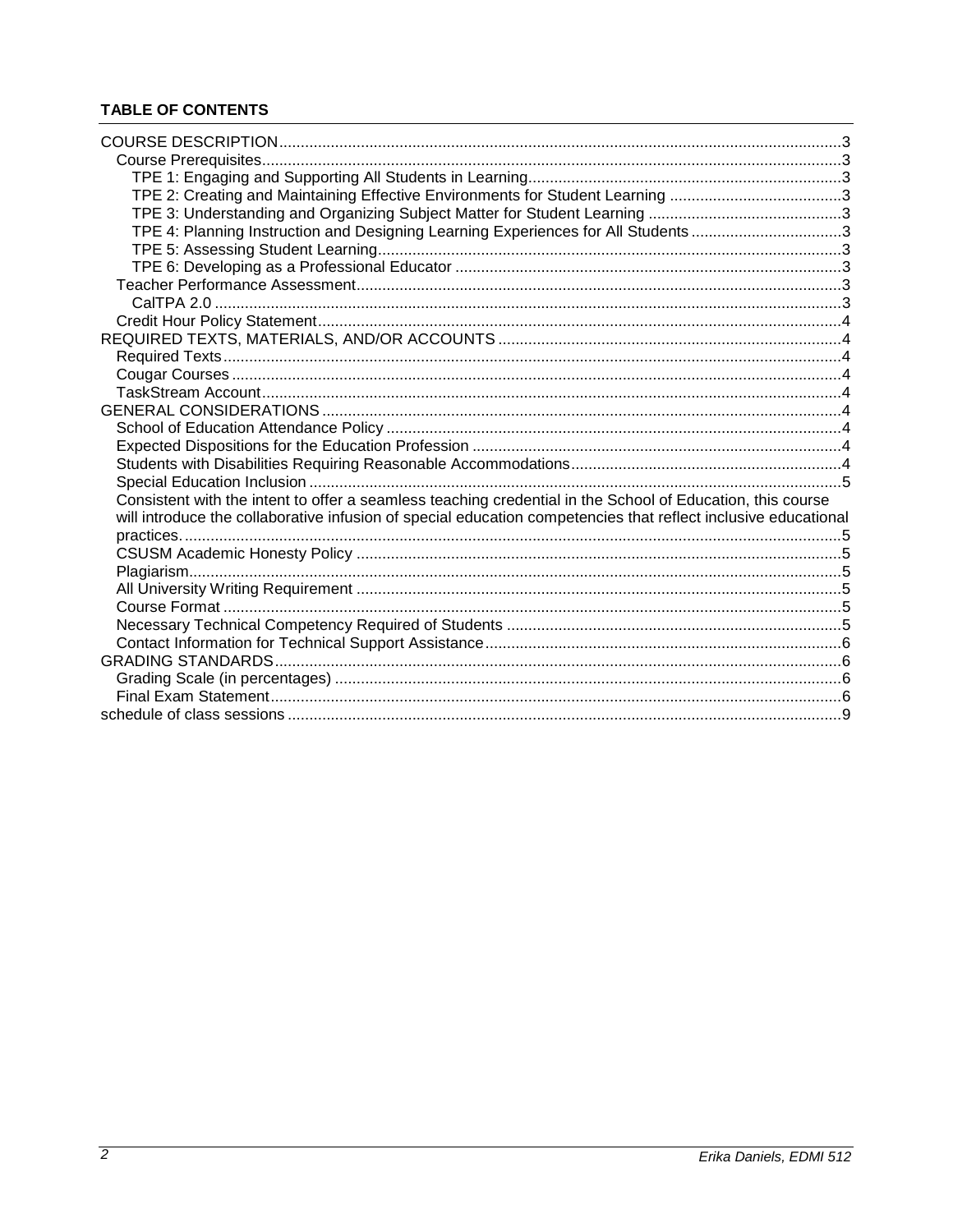# **TABLE OF CONTENTS**

| TPE 2: Creating and Maintaining Effective Environments for Student Learning 3                                  |  |
|----------------------------------------------------------------------------------------------------------------|--|
|                                                                                                                |  |
| TPE 4: Planning Instruction and Designing Learning Experiences for All Students 3                              |  |
|                                                                                                                |  |
|                                                                                                                |  |
|                                                                                                                |  |
|                                                                                                                |  |
|                                                                                                                |  |
|                                                                                                                |  |
|                                                                                                                |  |
|                                                                                                                |  |
|                                                                                                                |  |
|                                                                                                                |  |
|                                                                                                                |  |
|                                                                                                                |  |
|                                                                                                                |  |
|                                                                                                                |  |
| Consistent with the intent to offer a seamless teaching credential in the School of Education, this course     |  |
| will introduce the collaborative infusion of special education competencies that reflect inclusive educational |  |
|                                                                                                                |  |
|                                                                                                                |  |
|                                                                                                                |  |
|                                                                                                                |  |
|                                                                                                                |  |
|                                                                                                                |  |
|                                                                                                                |  |
|                                                                                                                |  |
|                                                                                                                |  |
|                                                                                                                |  |
|                                                                                                                |  |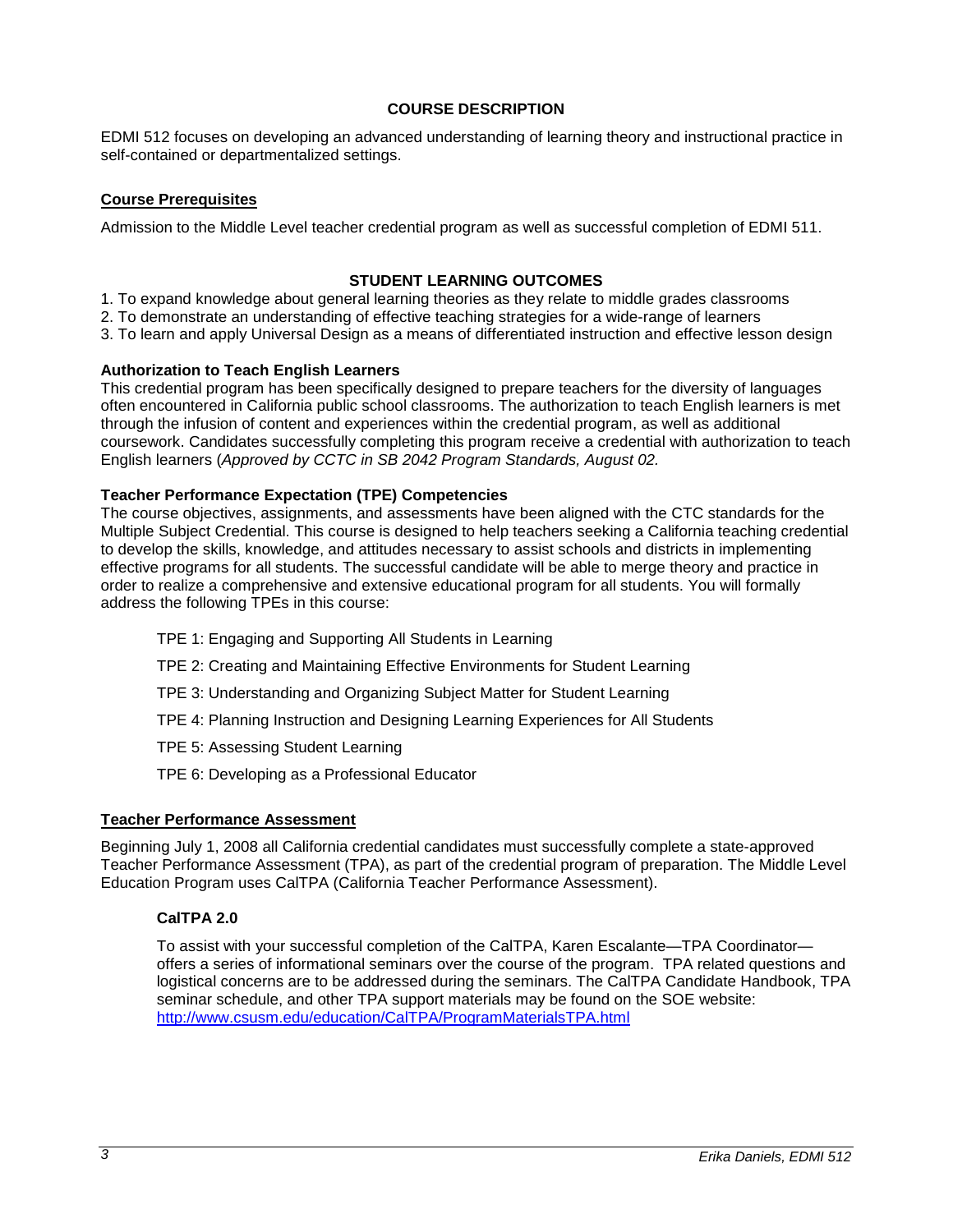### **COURSE DESCRIPTION**

EDMI 512 focuses on developing an advanced understanding of learning theory and instructional practice in self-contained or departmentalized settings.

### **Course Prerequisites**

Admission to the Middle Level teacher credential program as well as successful completion of EDMI 511.

### **STUDENT LEARNING OUTCOMES**

1. To expand knowledge about general learning theories as they relate to middle grades classrooms

- 2. To demonstrate an understanding of effective teaching strategies for a wide-range of learners
- 3. To learn and apply Universal Design as a means of differentiated instruction and effective lesson design

### **Authorization to Teach English Learners**

This credential program has been specifically designed to prepare teachers for the diversity of languages often encountered in California public school classrooms. The authorization to teach English learners is met through the infusion of content and experiences within the credential program, as well as additional coursework. Candidates successfully completing this program receive a credential with authorization to teach English learners (*Approved by CCTC in SB 2042 Program Standards, August 02.* 

### **Teacher Performance Expectation (TPE) Competencies**

The course objectives, assignments, and assessments have been aligned with the CTC standards for the Multiple Subject Credential. This course is designed to help teachers seeking a California teaching credential to develop the skills, knowledge, and attitudes necessary to assist schools and districts in implementing effective programs for all students. The successful candidate will be able to merge theory and practice in order to realize a comprehensive and extensive educational program for all students. You will formally address the following TPEs in this course:

- TPE 1: Engaging and Supporting All Students in Learning
- TPE 2: Creating and Maintaining Effective Environments for Student Learning
- TPE 3: Understanding and Organizing Subject Matter for Student Learning
- TPE 4: Planning Instruction and Designing Learning Experiences for All Students
- TPE 5: Assessing Student Learning
- TPE 6: Developing as a Professional Educator

#### **Teacher Performance Assessment**

Beginning July 1, 2008 all California credential candidates must successfully complete a state-approved Teacher Performance Assessment (TPA), as part of the credential program of preparation. The Middle Level Education Program uses CalTPA (California Teacher Performance Assessment).

#### **CalTPA 2.0**

To assist with your successful completion of the CalTPA, Karen Escalante—TPA Coordinator offers a series of informational seminars over the course of the program. TPA related questions and logistical concerns are to be addressed during the seminars. The CalTPA Candidate Handbook, TPA seminar schedule, and other TPA support materials may be found on the SOE website: <http://www.csusm.edu/education/CalTPA/ProgramMaterialsTPA.html>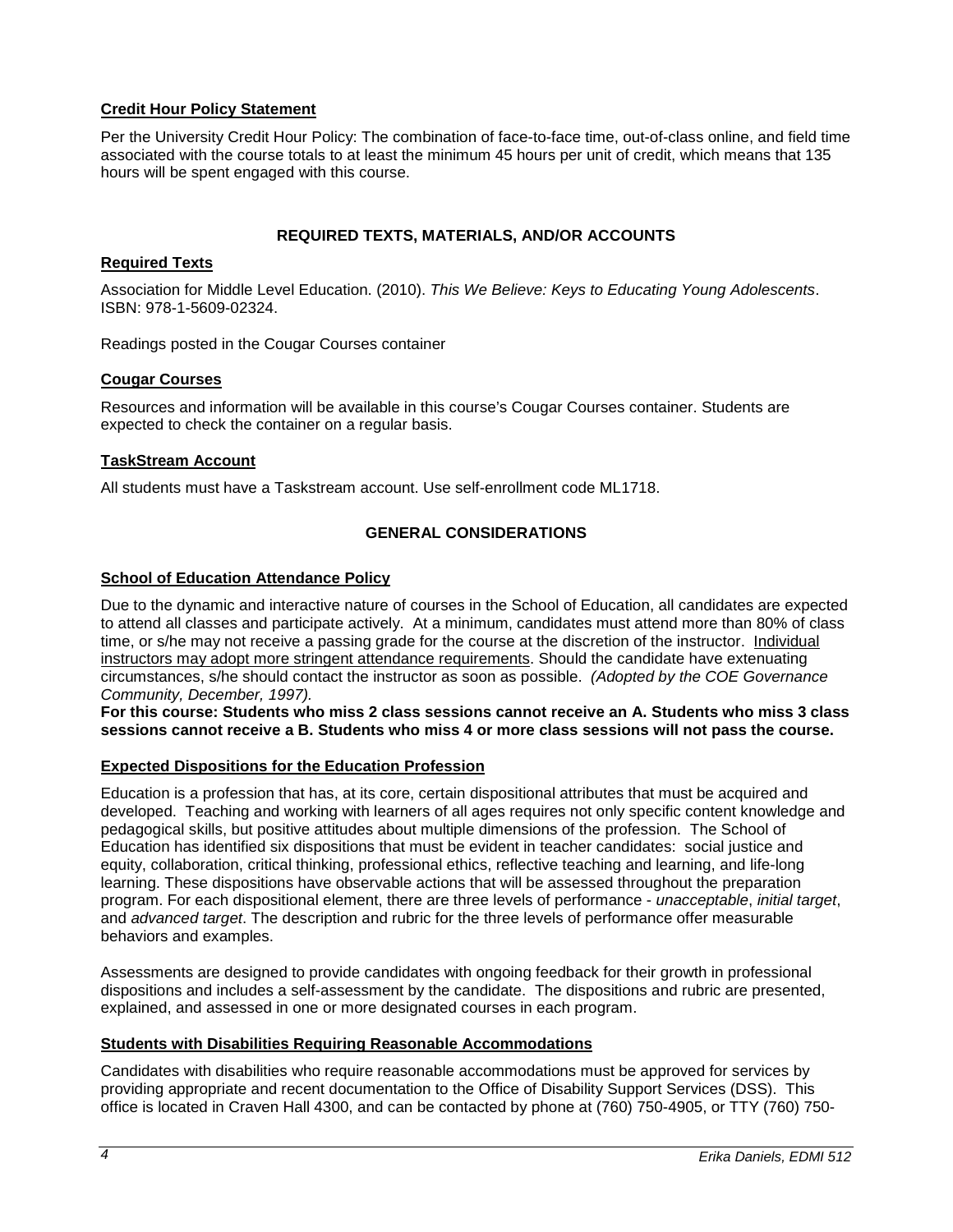## **Credit Hour Policy Statement**

Per the University Credit Hour Policy: The combination of face-to-face time, out-of-class online, and field time associated with the course totals to at least the minimum 45 hours per unit of credit, which means that 135 hours will be spent engaged with this course.

## **REQUIRED TEXTS, MATERIALS, AND/OR ACCOUNTS**

## **Required Texts**

Association for Middle Level Education. (2010). *This We Believe: Keys to Educating Young Adolescents*. ISBN: 978-1-5609-02324.

Readings posted in the Cougar Courses container

### **Cougar Courses**

Resources and information will be available in this course's Cougar Courses container. Students are expected to check the container on a regular basis.

### **TaskStream Account**

All students must have a Taskstream account. Use self-enrollment code ML1718.

## **GENERAL CONSIDERATIONS**

### **School of Education Attendance Policy**

Due to the dynamic and interactive nature of courses in the School of Education, all candidates are expected to attend all classes and participate actively. At a minimum, candidates must attend more than 80% of class time, or s/he may not receive a passing grade for the course at the discretion of the instructor. Individual instructors may adopt more stringent attendance requirements. Should the candidate have extenuating circumstances, s/he should contact the instructor as soon as possible. *(Adopted by the COE Governance Community, December, 1997).*

**For this course: Students who miss 2 class sessions cannot receive an A. Students who miss 3 class sessions cannot receive a B. Students who miss 4 or more class sessions will not pass the course.**

## **Expected Dispositions for the Education Profession**

Education is a profession that has, at its core, certain dispositional attributes that must be acquired and developed. Teaching and working with learners of all ages requires not only specific content knowledge and pedagogical skills, but positive attitudes about multiple dimensions of the profession. The School of Education has identified six dispositions that must be evident in teacher candidates: social justice and equity, collaboration, critical thinking, professional ethics, reflective teaching and learning, and life-long learning. These dispositions have observable actions that will be assessed throughout the preparation program. For each dispositional element, there are three levels of performance - *unacceptable*, *initial target*, and *advanced target*. The description and rubric for the three levels of performance offer measurable behaviors and examples.

Assessments are designed to provide candidates with ongoing feedback for their growth in professional dispositions and includes a self-assessment by the candidate. The dispositions and rubric are presented, explained, and assessed in one or more designated courses in each program.

#### **Students with Disabilities Requiring Reasonable Accommodations**

Candidates with disabilities who require reasonable accommodations must be approved for services by providing appropriate and recent documentation to the Office of Disability Support Services (DSS). This office is located in Craven Hall 4300, and can be contacted by phone at (760) 750-4905, or TTY (760) 750-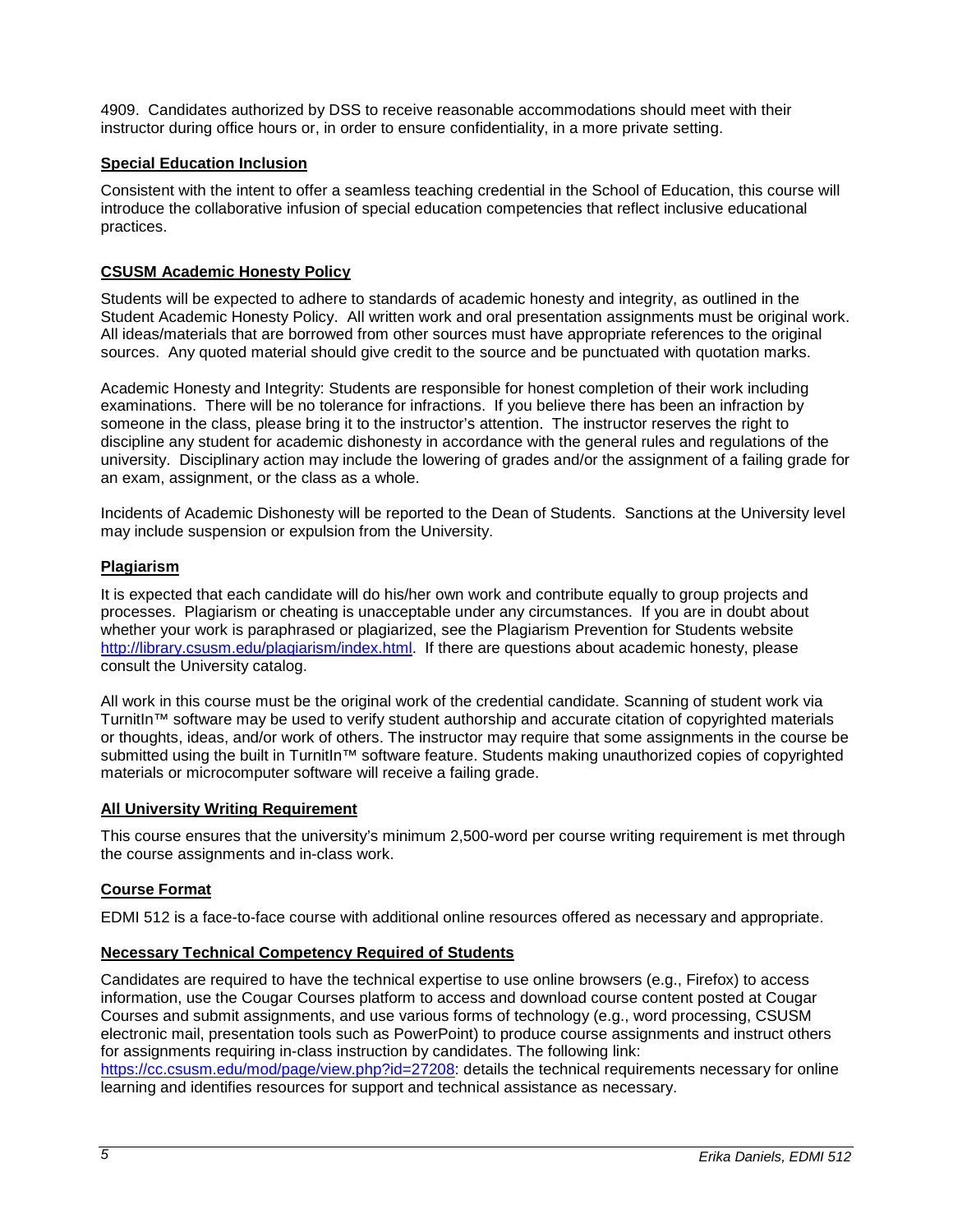4909. Candidates authorized by DSS to receive reasonable accommodations should meet with their instructor during office hours or, in order to ensure confidentiality, in a more private setting.

## **Special Education Inclusion**

Consistent with the intent to offer a seamless teaching credential in the School of Education, this course will introduce the collaborative infusion of special education competencies that reflect inclusive educational practices.

## **CSUSM Academic Honesty Policy**

Students will be expected to adhere to standards of academic honesty and integrity, as outlined in the Student Academic Honesty Policy. All written work and oral presentation assignments must be original work. All ideas/materials that are borrowed from other sources must have appropriate references to the original sources. Any quoted material should give credit to the source and be punctuated with quotation marks.

Academic Honesty and Integrity: Students are responsible for honest completion of their work including examinations. There will be no tolerance for infractions. If you believe there has been an infraction by someone in the class, please bring it to the instructor's attention. The instructor reserves the right to discipline any student for academic dishonesty in accordance with the general rules and regulations of the university. Disciplinary action may include the lowering of grades and/or the assignment of a failing grade for an exam, assignment, or the class as a whole.

Incidents of Academic Dishonesty will be reported to the Dean of Students. Sanctions at the University level may include suspension or expulsion from the University.

## **Plagiarism**

It is expected that each candidate will do his/her own work and contribute equally to group projects and processes. Plagiarism or cheating is unacceptable under any circumstances. If you are in doubt about whether your work is paraphrased or plagiarized, see the Plagiarism Prevention for Students website [http://library.csusm.edu/plagiarism/index.html.](http://library.csusm.edu/plagiarism/index.html) If there are questions about academic honesty, please consult the University catalog.

All work in this course must be the original work of the credential candidate. Scanning of student work via TurnitIn™ software may be used to verify student authorship and accurate citation of copyrighted materials or thoughts, ideas, and/or work of others. The instructor may require that some assignments in the course be submitted using the built in TurnitIn™ software feature. Students making unauthorized copies of copyrighted materials or microcomputer software will receive a failing grade.

## **All University Writing Requirement**

This course ensures that the university's minimum 2,500-word per course writing requirement is met through the course assignments and in-class work.

## **Course Format**

EDMI 512 is a face-to-face course with additional online resources offered as necessary and appropriate.

## **Necessary Technical Competency Required of Students**

Candidates are required to have the technical expertise to use online browsers (e.g., Firefox) to access information, use the Cougar Courses platform to access and download course content posted at Cougar Courses and submit assignments, and use various forms of technology (e.g., word processing, CSUSM electronic mail, presentation tools such as PowerPoint) to produce course assignments and instruct others for assignments requiring in-class instruction by candidates. The following link: [https://cc.csusm.edu/mod/page/view.php?id=27208:](https://cc.csusm.edu/mod/page/view.php?id=27208) details the technical requirements necessary for online learning and identifies resources for support and technical assistance as necessary.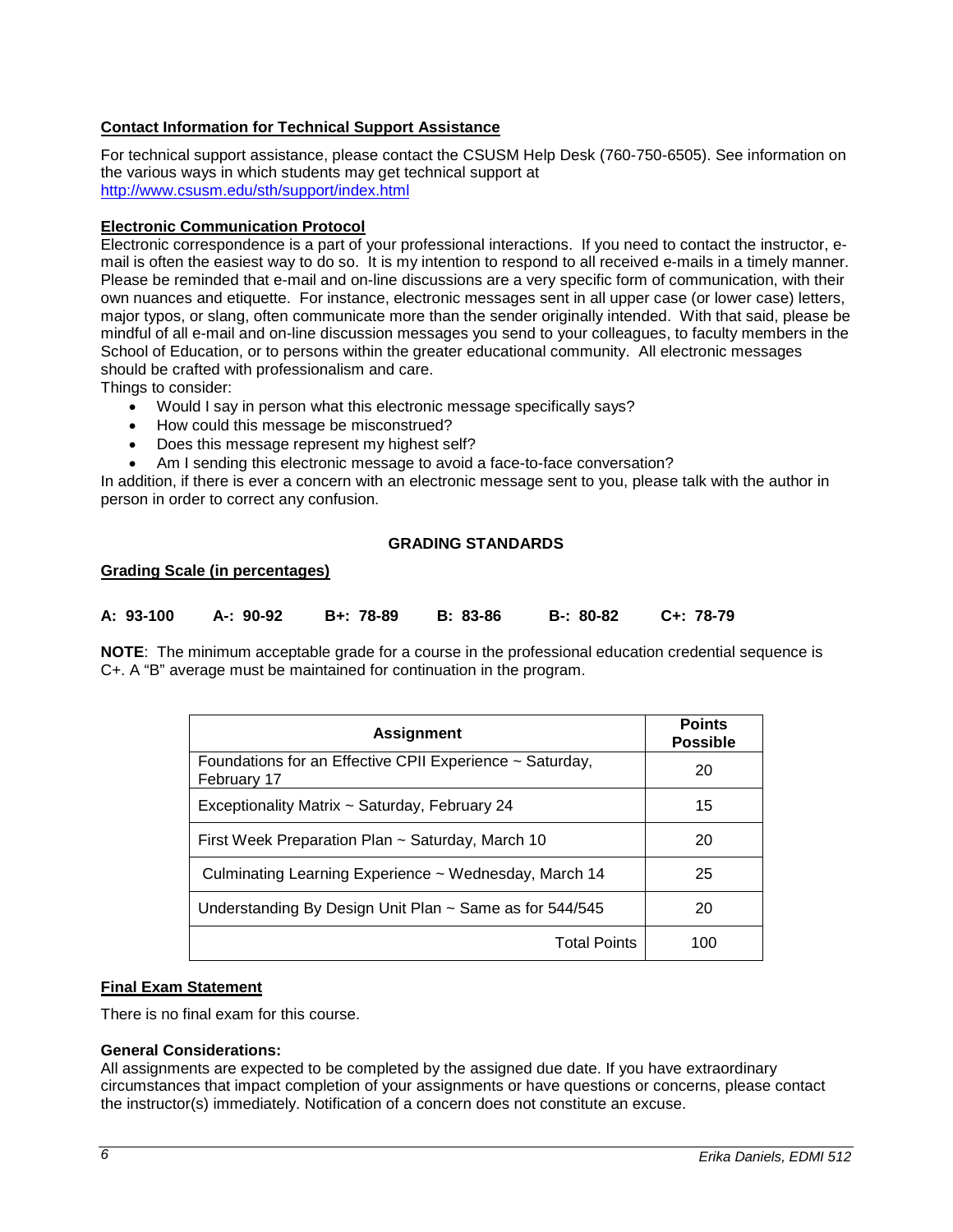## **Contact Information for Technical Support Assistance**

For technical support assistance, please contact the CSUSM Help Desk (760-750-6505). See information on the various ways in which students may get technical support at <http://www.csusm.edu/sth/support/index.html>

## **Electronic Communication Protocol**

Electronic correspondence is a part of your professional interactions. If you need to contact the instructor, email is often the easiest way to do so. It is my intention to respond to all received e-mails in a timely manner. Please be reminded that e-mail and on-line discussions are a very specific form of communication, with their own nuances and etiquette. For instance, electronic messages sent in all upper case (or lower case) letters, major typos, or slang, often communicate more than the sender originally intended. With that said, please be mindful of all e-mail and on-line discussion messages you send to your colleagues, to faculty members in the School of Education, or to persons within the greater educational community. All electronic messages should be crafted with professionalism and care.

Things to consider:

- Would I say in person what this electronic message specifically says?
- How could this message be misconstrued?
- Does this message represent my highest self?
- Am I sending this electronic message to avoid a face-to-face conversation?

In addition, if there is ever a concern with an electronic message sent to you, please talk with the author in person in order to correct any confusion.

## **GRADING STANDARDS**

#### **Grading Scale (in percentages)**

| A: 93-100 | A-: 90-92   B+: 78-89 | B: 83-86 | B-: 80-82 C+: 78-79 |
|-----------|-----------------------|----------|---------------------|
|           |                       |          |                     |

**NOTE**: The minimum acceptable grade for a course in the professional education credential sequence is C+. A "B" average must be maintained for continuation in the program.

| <b>Assignment</b>                                                       | <b>Points</b><br><b>Possible</b> |
|-------------------------------------------------------------------------|----------------------------------|
| Foundations for an Effective CPII Experience ~ Saturday,<br>February 17 | 20                               |
| Exceptionality Matrix ~ Saturday, February 24                           | 15                               |
| First Week Preparation Plan ~ Saturday, March 10                        | 20                               |
| Culminating Learning Experience ~ Wednesday, March 14                   | 25                               |
| Understanding By Design Unit Plan ~ Same as for 544/545                 | 20                               |
| <b>Total Points</b>                                                     | 100                              |

#### **Final Exam Statement**

There is no final exam for this course.

#### **General Considerations:**

All assignments are expected to be completed by the assigned due date. If you have extraordinary circumstances that impact completion of your assignments or have questions or concerns, please contact the instructor(s) immediately. Notification of a concern does not constitute an excuse.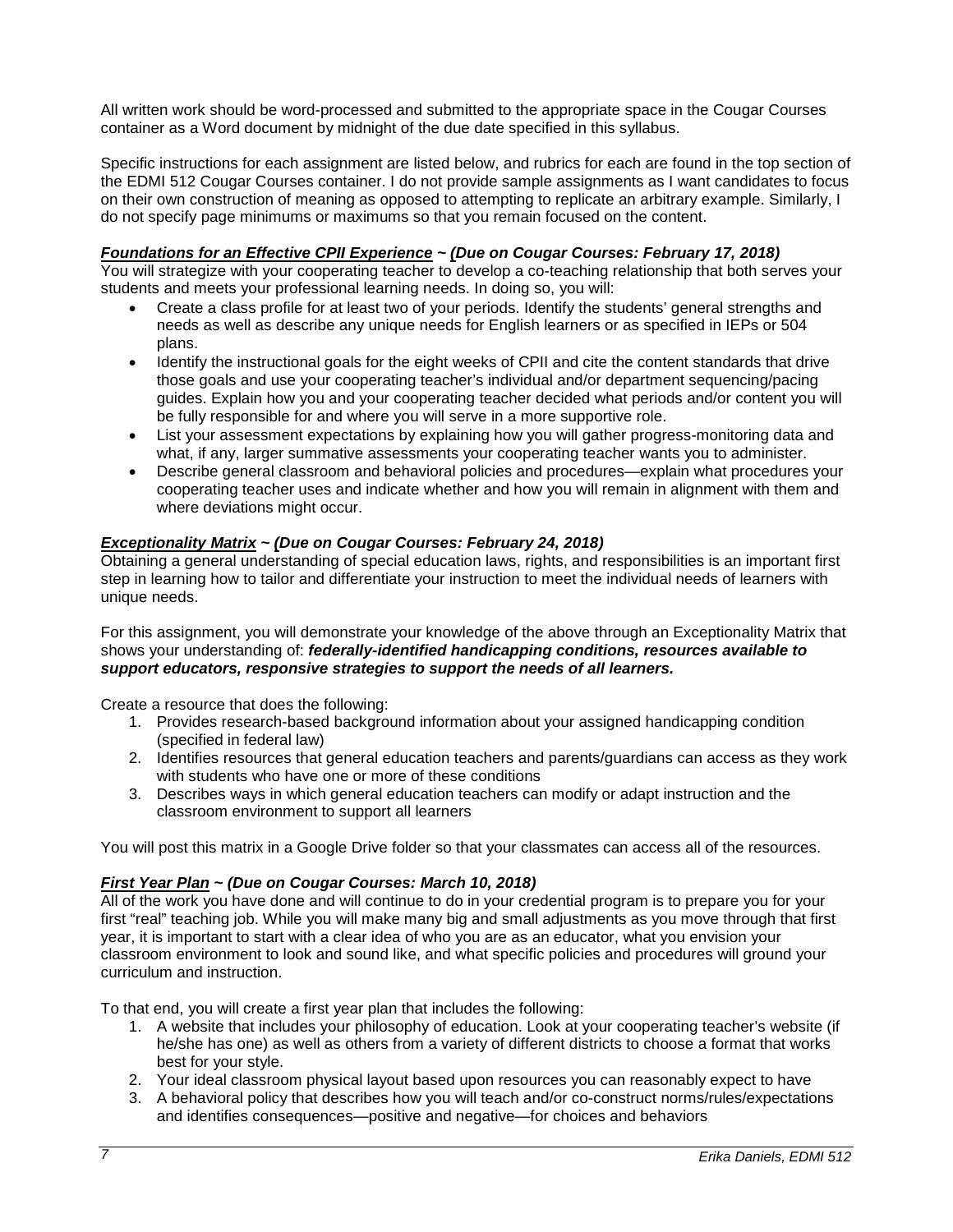All written work should be word-processed and submitted to the appropriate space in the Cougar Courses container as a Word document by midnight of the due date specified in this syllabus.

Specific instructions for each assignment are listed below, and rubrics for each are found in the top section of the EDMI 512 Cougar Courses container. I do not provide sample assignments as I want candidates to focus on their own construction of meaning as opposed to attempting to replicate an arbitrary example. Similarly, I do not specify page minimums or maximums so that you remain focused on the content.

## *Foundations for an Effective CPII Experience ~ (Due on Cougar Courses: February 17, 2018)*

You will strategize with your cooperating teacher to develop a co-teaching relationship that both serves your students and meets your professional learning needs. In doing so, you will:

- Create a class profile for at least two of your periods. Identify the students' general strengths and needs as well as describe any unique needs for English learners or as specified in IEPs or 504 plans.
- Identify the instructional goals for the eight weeks of CPII and cite the content standards that drive those goals and use your cooperating teacher's individual and/or department sequencing/pacing guides. Explain how you and your cooperating teacher decided what periods and/or content you will be fully responsible for and where you will serve in a more supportive role.
- List your assessment expectations by explaining how you will gather progress-monitoring data and what, if any, larger summative assessments your cooperating teacher wants you to administer.
- Describe general classroom and behavioral policies and procedures—explain what procedures your cooperating teacher uses and indicate whether and how you will remain in alignment with them and where deviations might occur.

## *Exceptionality Matrix ~ (Due on Cougar Courses: February 24, 2018)*

Obtaining a general understanding of special education laws, rights, and responsibilities is an important first step in learning how to tailor and differentiate your instruction to meet the individual needs of learners with unique needs.

For this assignment, you will demonstrate your knowledge of the above through an Exceptionality Matrix that shows your understanding of: *federally-identified handicapping conditions, resources available to support educators, responsive strategies to support the needs of all learners.*

Create a resource that does the following:

- 1. Provides research-based background information about your assigned handicapping condition (specified in federal law)
- 2. Identifies resources that general education teachers and parents/guardians can access as they work with students who have one or more of these conditions
- 3. Describes ways in which general education teachers can modify or adapt instruction and the classroom environment to support all learners

You will post this matrix in a Google Drive folder so that your classmates can access all of the resources.

## *First Year Plan ~ (Due on Cougar Courses: March 10, 2018)*

All of the work you have done and will continue to do in your credential program is to prepare you for your first "real" teaching job. While you will make many big and small adjustments as you move through that first year, it is important to start with a clear idea of who you are as an educator, what you envision your classroom environment to look and sound like, and what specific policies and procedures will ground your curriculum and instruction.

To that end, you will create a first year plan that includes the following:

- 1. A website that includes your philosophy of education. Look at your cooperating teacher's website (if he/she has one) as well as others from a variety of different districts to choose a format that works best for your style.
- 2. Your ideal classroom physical layout based upon resources you can reasonably expect to have
- 3. A behavioral policy that describes how you will teach and/or co-construct norms/rules/expectations and identifies consequences—positive and negative—for choices and behaviors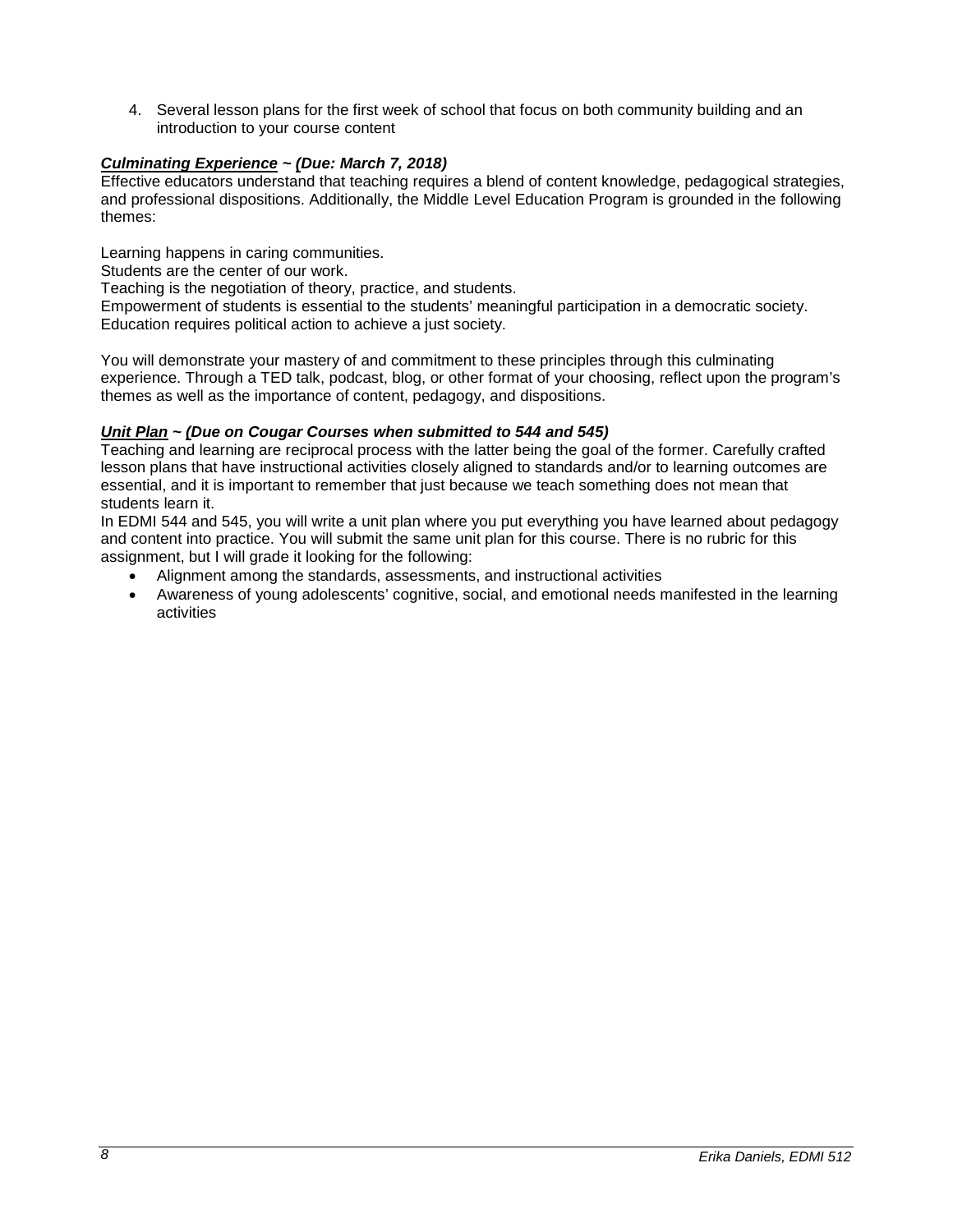4. Several lesson plans for the first week of school that focus on both community building and an introduction to your course content

## *Culminating Experience ~ (Due: March 7, 2018)*

Effective educators understand that teaching requires a blend of content knowledge, pedagogical strategies, and professional dispositions. Additionally, the Middle Level Education Program is grounded in the following themes:

Learning happens in caring communities.

Students are the center of our work.

Teaching is the negotiation of theory, practice, and students.

Empowerment of students is essential to the students' meaningful participation in a democratic society. Education requires political action to achieve a just society.

You will demonstrate your mastery of and commitment to these principles through this culminating experience. Through a TED talk, podcast, blog, or other format of your choosing, reflect upon the program's themes as well as the importance of content, pedagogy, and dispositions.

## *Unit Plan ~ (Due on Cougar Courses when submitted to 544 and 545)*

Teaching and learning are reciprocal process with the latter being the goal of the former. Carefully crafted lesson plans that have instructional activities closely aligned to standards and/or to learning outcomes are essential, and it is important to remember that just because we teach something does not mean that students learn it.

In EDMI 544 and 545, you will write a unit plan where you put everything you have learned about pedagogy and content into practice. You will submit the same unit plan for this course. There is no rubric for this assignment, but I will grade it looking for the following:

- Alignment among the standards, assessments, and instructional activities
- Awareness of young adolescents' cognitive, social, and emotional needs manifested in the learning activities